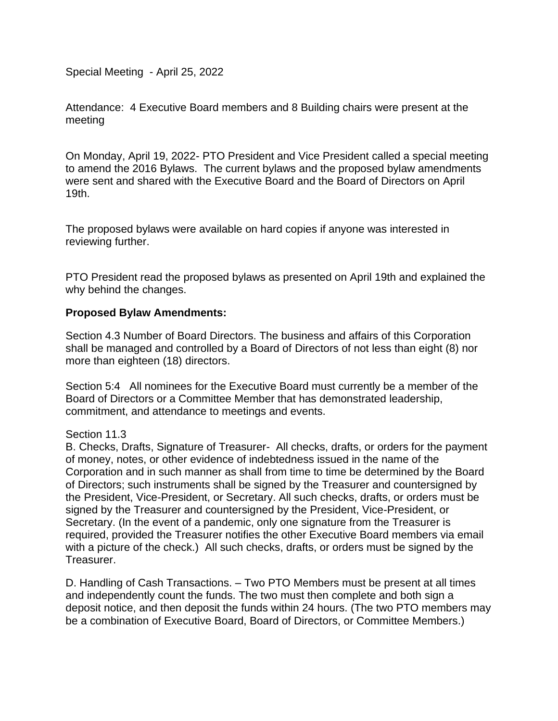Special Meeting - April 25, 2022

Attendance: 4 Executive Board members and 8 Building chairs were present at the meeting

On Monday, April 19, 2022- PTO President and Vice President called a special meeting to amend the 2016 Bylaws. The current bylaws and the proposed bylaw amendments were sent and shared with the Executive Board and the Board of Directors on April 19th.

The proposed bylaws were available on hard copies if anyone was interested in reviewing further.

PTO President read the proposed bylaws as presented on April 19th and explained the why behind the changes.

## **Proposed Bylaw Amendments:**

Section 4.3 Number of Board Directors. The business and affairs of this Corporation shall be managed and controlled by a Board of Directors of not less than eight (8) nor more than eighteen (18) directors.

Section 5:4 All nominees for the Executive Board must currently be a member of the Board of Directors or a Committee Member that has demonstrated leadership, commitment, and attendance to meetings and events.

Section 11.3

B. Checks, Drafts, Signature of Treasurer- All checks, drafts, or orders for the payment of money, notes, or other evidence of indebtedness issued in the name of the Corporation and in such manner as shall from time to time be determined by the Board of Directors; such instruments shall be signed by the Treasurer and countersigned by the President, Vice-President, or Secretary. All such checks, drafts, or orders must be signed by the Treasurer and countersigned by the President, Vice-President, or Secretary. (In the event of a pandemic, only one signature from the Treasurer is required, provided the Treasurer notifies the other Executive Board members via email with a picture of the check.) All such checks, drafts, or orders must be signed by the Treasurer.

D. Handling of Cash Transactions. – Two PTO Members must be present at all times and independently count the funds. The two must then complete and both sign a deposit notice, and then deposit the funds within 24 hours. (The two PTO members may be a combination of Executive Board, Board of Directors, or Committee Members.)